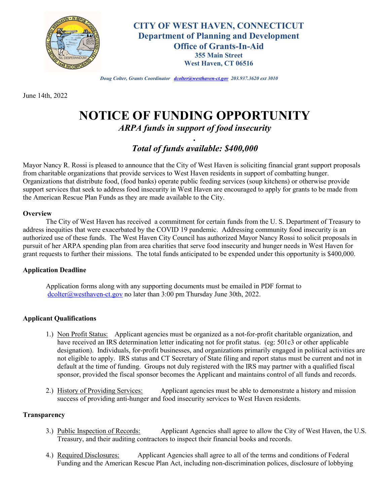

**CITY OF WEST HAVEN, CONNECTICUT Department of Planning and Development Office of Grants-In-Aid 355 Main Street West Haven, CT 06516**

*Doug Colter, Grants Coordinator dcolter@westhaven-ct.gov 203.937.3620 ext 3010*

June 14th, 2022

# **NOTICE OF FUNDING OPPORTUNITY**

*ARPA funds in support of food insecurity .*

## *Total of funds available: \$400,000*

Mayor Nancy R. Rossi is pleased to announce that the City of West Haven is soliciting financial grant support proposals from charitable organizations that provide services to West Haven residents in support of combatting hunger. Organizations that distribute food, (food banks) operate public feeding services (soup kitchens) or otherwise provide support services that seek to address food insecurity in West Haven are encouraged to apply for grants to be made from the American Rescue Plan Funds as they are made available to the City.

#### **Overview**

The City of West Haven has received a commitment for certain funds from the U. S. Department of Treasury to address inequities that were exacerbated by the COVID 19 pandemic. Addressing community food insecurity is an authorized use of these funds. The West Haven City Council has authorized Mayor Nancy Rossi to solicit proposals in pursuit of her ARPA spending plan from area charities that serve food insecurity and hunger needs in West Haven for grant requests to further their missions. The total funds anticipated to be expended under this opportunity is \$400,000.

#### **Application Deadline**

Application forms along with any supporting documents must be emailed in PDF format to dcolter@westhaven-ct.gov no later than 3:00 pm Thursday June 30th, 2022.

#### **Applicant Qualifications**

- 1.) Non Profit Status: Applicant agencies must be organized as a not-for-profit charitable organization, and have received an IRS determination letter indicating not for profit status. (eg: 501c3 or other applicable designation). Individuals, for-profit businesses, and organizations primarily engaged in political activities are not eligible to apply. IRS status and CT Secretary of State filing and report status must be current and not in default at the time of funding. Groups not duly registered with the IRS may partner with a qualified fiscal sponsor, provided the fiscal sponsor becomes the Applicant and maintains control of all funds and records.
- 2.) History of Providing Services: Applicant agencies must be able to demonstrate a history and mission success of providing anti-hunger and food insecurity services to West Haven residents.

#### **Transparency**

- 3.) Public Inspection of Records: Applicant Agencies shall agree to allow the City of West Haven, the U.S. Treasury, and their auditing contractors to inspect their financial books and records.
- 4.) Required Disclosures: Applicant Agencies shall agree to all of the terms and conditions of Federal Funding and the American Rescue Plan Act, including non-discrimination polices, disclosure of lobbying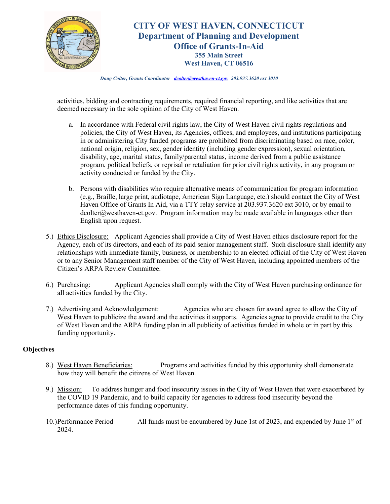

## **CITY OF WEST HAVEN, CONNECTICUT Department of Planning and Development Office of Grants-In-Aid 355 Main Street West Haven, CT 06516**

*Doug Colter, Grants Coordinator dcolter@westhaven-ct.gov 203.937.3620 ext 3010*

activities, bidding and contracting requirements, required financial reporting, and like activities that are deemed necessary in the sole opinion of the City of West Haven.

- a. In accordance with Federal civil rights law, the City of West Haven civil rights regulations and policies, the City of West Haven, its Agencies, offices, and employees, and institutions participating in or administering City funded programs are prohibited from discriminating based on race, color, national origin, religion, sex, gender identity (including gender expression), sexual orientation, disability, age, marital status, family/parental status, income derived from a public assistance program, political beliefs, or reprisal or retaliation for prior civil rights activity, in any program or activity conducted or funded by the City.
- b. Persons with disabilities who require alternative means of communication for program information (e.g., Braille, large print, audiotape, American Sign Language, etc.) should contact the City of West Haven Office of Grants In Aid, via a TTY relay service at 203.937.3620 ext 3010, or by email to dcolter@westhaven-ct.gov. Program information may be made available in languages other than English upon request.
- 5.) Ethics Disclosure: Applicant Agencies shall provide a City of West Haven ethics disclosure report for the Agency, each of its directors, and each of its paid senior management staff. Such disclosure shall identify any relationships with immediate family, business, or membership to an elected official of the City of West Haven or to any Senior Management staff member of the City of West Haven, including appointed members of the Citizen's ARPA Review Committee.
- 6.) Purchasing: Applicant Agencies shall comply with the City of West Haven purchasing ordinance for all activities funded by the City.
- 7.) Advertising and Acknowledgement: Agencies who are chosen for award agree to allow the City of West Haven to publicize the award and the activities it supports. Agencies agree to provide credit to the City of West Haven and the ARPA funding plan in all publicity of activities funded in whole or in part by this funding opportunity.

#### **Objectives**

- 8.) West Haven Beneficiaries: Programs and activities funded by this opportunity shall demonstrate how they will benefit the citizens of West Haven.
- 9.) Mission: To address hunger and food insecurity issues in the City of West Haven that were exacerbated by the COVID 19 Pandemic, and to build capacity for agencies to address food insecurity beyond the performance dates of this funding opportunity.
- 10.)Performance Period All funds must be encumbered by June 1st of 2023, and expended by June 1st of 2024.